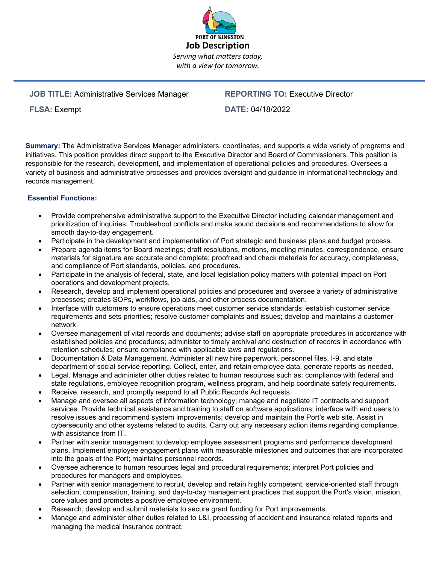

# **JOB TITLE:** Administrative Services Manager **REPORTING TO:** Executive Director

**FLSA:** Exempt **DATE:** 04/18/2022

**Summary:** The Administrative Services Manager administers, coordinates, and supports a wide variety of programs and initiatives. This position provides direct support to the Executive Director and Board of Commissioners. This position is responsible for the research, development, and implementation of operational policies and procedures. Oversees a variety of business and administrative processes and provides oversight and guidance in informational technology and records management.

# **Essential Functions:**

- Provide comprehensive administrative support to the Executive Director including calendar management and prioritization of inquiries. Troubleshoot conflicts and make sound decisions and recommendations to allow for smooth day-to-day engagement.
- Participate in the development and implementation of Port strategic and business plans and budget process.
- Prepare agenda items for Board meetings; draft resolutions, motions, meeting minutes, correspondence, ensure materials for signature are accurate and complete; proofread and check materials for accuracy, completeness, and compliance of Port standards, policies, and procedures.
- Participate in the analysis of federal, state, and local legislation policy matters with potential impact on Port operations and development projects.
- Research, develop and implement operational policies and procedures and oversee a variety of administrative processes; creates SOPs, workflows, job aids, and other process documentation.
- Interface with customers to ensure operations meet customer service standards; establish customer service requirements and sets priorities; resolve customer complaints and issues; develop and maintains a customer network.
- Oversee management of vital records and documents; advise staff on appropriate procedures in accordance with established policies and procedures; administer to timely archival and destruction of records in accordance with retention schedules; ensure compliance with applicable laws and regulations.
- Documentation & Data Management. Administer all new hire paperwork, personnel files, I-9, and state department of social service reporting. Collect, enter, and retain employee data, generate reports as needed.
- Legal. Manage and administer other duties related to human resources such as: compliance with federal and state regulations, employee recognition program, wellness program, and help coordinate safety requirements.
- Receive, research, and promptly respond to all Public Records Act requests.
- Manage and oversee all aspects of information technology; manage and negotiate IT contracts and support services. Provide technical assistance and training to staff on software applications; interface with end users to resolve issues and recommend system improvements; develop and maintain the Port's web site. Assist in cybersecurity and other systems related to audits. Carry out any necessary action items regarding compliance, with assistance from IT.
- Partner with senior management to develop employee assessment programs and performance development plans. Implement employee engagement plans with measurable milestones and outcomes that are incorporated into the goals of the Port; maintains personnel records.
- Oversee adherence to human resources legal and procedural requirements; interpret Port policies and procedures for managers and employees.
- Partner with senior management to recruit, develop and retain highly competent, service-oriented staff through selection, compensation, training, and day-to-day management practices that support the Port's vision, mission, core values and promotes a positive employee environment.
- Research, develop and submit materials to secure grant funding for Port improvements.
- Manage and administer other duties related to L&I, processing of accident and insurance related reports and managing the medical insurance contract.